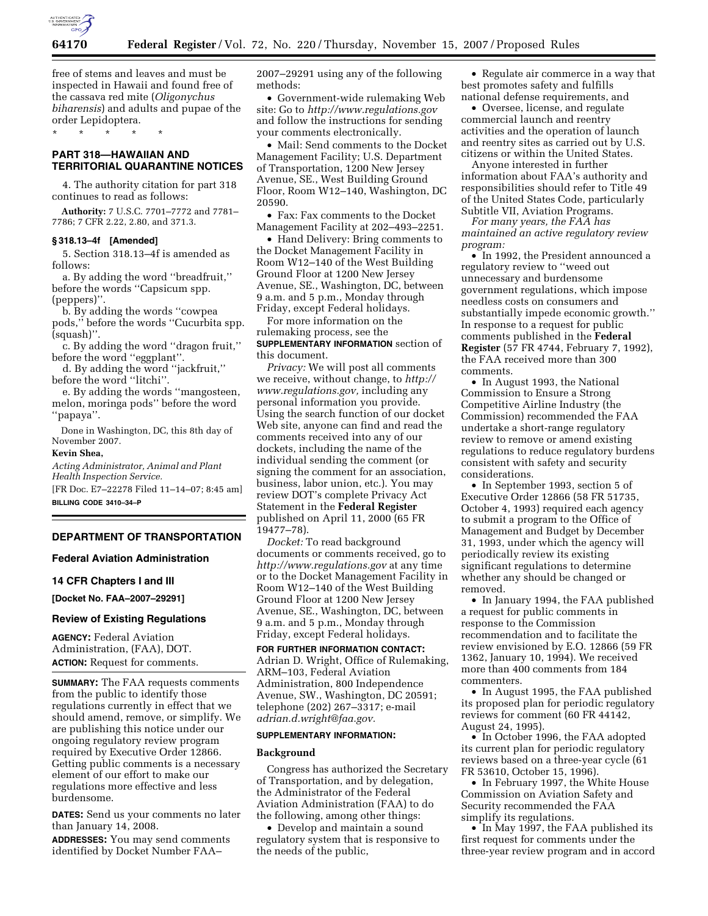

free of stems and leaves and must be inspected in Hawaii and found free of the cassava red mite (*Oligonychus biharensis*) and adults and pupae of the order Lepidoptera.

\* \* \* \* \*

# **PART 318—HAWAIIAN AND TERRITORIAL QUARANTINE NOTICES**

4. The authority citation for part 318 continues to read as follows:

**Authority:** 7 U.S.C. 7701–7772 and 7781– 7786; 7 CFR 2.22, 2.80, and 371.3.

# **§ 318.13–4f [Amended]**

5. Section 318.13–4f is amended as follows:

a. By adding the word ''breadfruit,'' before the words ''Capsicum spp. (peppers)''.

b. By adding the words ''cowpea pods,'' before the words ''Cucurbita spp. (squash)''.

c. By adding the word ''dragon fruit,'' before the word ''eggplant''.

d. By adding the word ''jackfruit,'' before the word ''litchi''.

e. By adding the words ''mangosteen, melon, moringa pods'' before the word ''papaya''.

Done in Washington, DC, this 8th day of November 2007.

### **Kevin Shea,**

*Acting Administrator, Animal and Plant Health Inspection Service.* 

[FR Doc. E7–22278 Filed 11–14–07; 8:45 am] **BILLING CODE 3410–34–P** 

**DEPARTMENT OF TRANSPORTATION** 

**Federal Aviation Administration** 

## **14 CFR Chapters I and III**

**[Docket No. FAA–2007–29291]** 

# **Review of Existing Regulations**

**AGENCY:** Federal Aviation Administration, (FAA), DOT. **ACTION:** Request for comments.

**SUMMARY:** The FAA requests comments from the public to identify those regulations currently in effect that we should amend, remove, or simplify. We are publishing this notice under our ongoing regulatory review program required by Executive Order 12866. Getting public comments is a necessary element of our effort to make our regulations more effective and less burdensome.

**DATES:** Send us your comments no later than January 14, 2008.

**ADDRESSES:** You may send comments identified by Docket Number FAA–

2007–29291 using any of the following methods:

• Government-wide rulemaking Web site: Go to *http://www.regulations.gov*  and follow the instructions for sending your comments electronically.

• Mail: Send comments to the Docket Management Facility; U.S. Department of Transportation, 1200 New Jersey Avenue, SE., West Building Ground Floor, Room W12–140, Washington, DC 20590.

• Fax: Fax comments to the Docket Management Facility at 202–493–2251.

• Hand Delivery: Bring comments to the Docket Management Facility in Room W12–140 of the West Building Ground Floor at 1200 New Jersey Avenue, SE., Washington, DC, between 9 a.m. and 5 p.m., Monday through Friday, except Federal holidays.

For more information on the rulemaking process, see the **SUPPLEMENTARY INFORMATION** section of this document.

*Privacy:* We will post all comments we receive, without change, to *http:// www.regulations.gov,* including any personal information you provide. Using the search function of our docket Web site, anyone can find and read the comments received into any of our dockets, including the name of the individual sending the comment (or signing the comment for an association, business, labor union, etc.). You may review DOT's complete Privacy Act Statement in the **Federal Register**  published on April 11, 2000 (65 FR 19477–78).

*Docket:* To read background documents or comments received, go to *http://www.regulations.gov* at any time or to the Docket Management Facility in Room W12–140 of the West Building Ground Floor at 1200 New Jersey Avenue, SE., Washington, DC, between 9 a.m. and 5 p.m., Monday through Friday, except Federal holidays.

## **FOR FURTHER INFORMATION CONTACT:**

Adrian D. Wright, Office of Rulemaking, ARM–103, Federal Aviation Administration, 800 Independence Avenue, SW., Washington, DC 20591; telephone (202) 267–3317; e-mail *adrian.d.wright@faa.gov.* 

### **SUPPLEMENTARY INFORMATION:**

#### **Background**

Congress has authorized the Secretary of Transportation, and by delegation, the Administrator of the Federal Aviation Administration (FAA) to do the following, among other things:

• Develop and maintain a sound regulatory system that is responsive to the needs of the public,

• Regulate air commerce in a way that best promotes safety and fulfills national defense requirements, and

• Oversee, license, and regulate commercial launch and reentry activities and the operation of launch and reentry sites as carried out by U.S. citizens or within the United States.

Anyone interested in further information about FAA's authority and responsibilities should refer to Title 49 of the United States Code, particularly Subtitle VII, Aviation Programs.

*For many years, the FAA has maintained an active regulatory review program:* 

• In 1992, the President announced a regulatory review to ''weed out unnecessary and burdensome government regulations, which impose needless costs on consumers and substantially impede economic growth.'' In response to a request for public comments published in the **Federal Register** (57 FR 4744, February 7, 1992), the FAA received more than 300 comments.

• In August 1993, the National Commission to Ensure a Strong Competitive Airline Industry (the Commission) recommended the FAA undertake a short-range regulatory review to remove or amend existing regulations to reduce regulatory burdens consistent with safety and security considerations.

• In September 1993, section 5 of Executive Order 12866 (58 FR 51735, October 4, 1993) required each agency to submit a program to the Office of Management and Budget by December 31, 1993, under which the agency will periodically review its existing significant regulations to determine whether any should be changed or removed.

• In January 1994, the FAA published a request for public comments in response to the Commission recommendation and to facilitate the review envisioned by E.O. 12866 (59 FR 1362, January 10, 1994). We received more than 400 comments from 184 commenters.

• In August 1995, the FAA published its proposed plan for periodic regulatory reviews for comment (60 FR 44142, August 24, 1995).

• In October 1996, the FAA adopted its current plan for periodic regulatory reviews based on a three-year cycle (61 FR 53610, October 15, 1996).

• In February 1997, the White House Commission on Aviation Safety and Security recommended the FAA simplify its regulations.

• In May 1997, the FAA published its first request for comments under the three-year review program and in accord